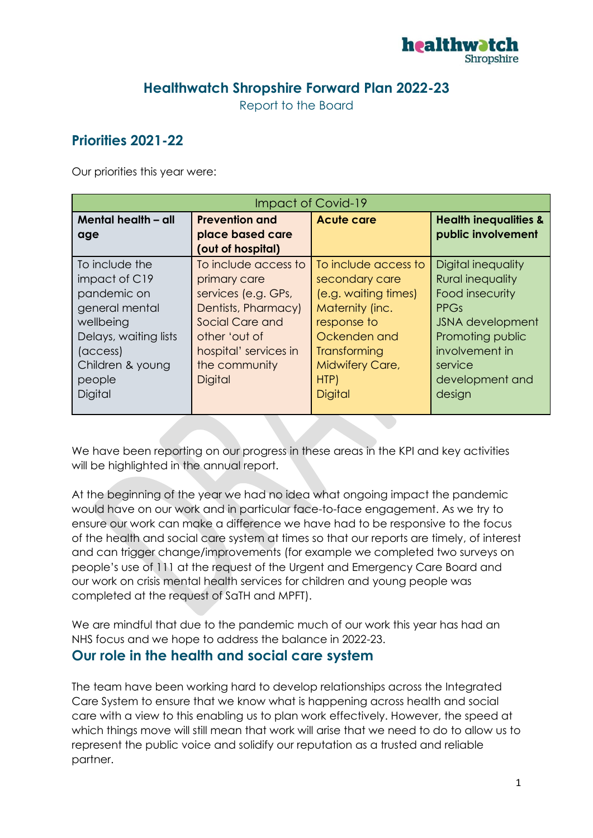

## **Healthwatch Shropshire Forward Plan 2022-23**

Report to the Board

# **Priorities 2021-22**

Our priorities this year were:

| Impact of Covid-19    |                       |                      |                                  |
|-----------------------|-----------------------|----------------------|----------------------------------|
| Mental health - all   | <b>Prevention and</b> | <b>Acute care</b>    | <b>Health inequalities &amp;</b> |
| age                   | place based care      |                      | public involvement               |
|                       | (out of hospital)     |                      |                                  |
| To include the        | To include access to  | To include access to | Digital inequality               |
| impact of C19         | primary care          | secondary care       | <b>Rural inequality</b>          |
| pandemic on           | services (e.g. GPs,   | (e.g. waiting times) | Food insecurity                  |
| general mental        | Dentists, Pharmacy)   | Maternity (inc.      | <b>PPGs</b>                      |
| wellbeing             | Social Care and       | response to          | <b>JSNA</b> development          |
| Delays, waiting lists | other 'out of         | Ockenden and         | Promoting public                 |
| (access)              | hospital' services in | Transforming         | involvement in                   |
| Children & young      | the community         | Midwifery Care,      | service                          |
| people                | <b>Digital</b>        | HTP)                 | development and                  |
| Digital               |                       | <b>Digital</b>       | design                           |
|                       |                       |                      |                                  |

We have been reporting on our progress in these areas in the KPI and key activities will be highlighted in the annual report.

At the beginning of the year we had no idea what ongoing impact the pandemic would have on our work and in particular face-to-face engagement. As we try to ensure our work can make a difference we have had to be responsive to the focus of the health and social care system at times so that our reports are timely, of interest and can trigger change/improvements (for example we completed two surveys on people's use of 111 at the request of the Urgent and Emergency Care Board and our work on crisis mental health services for children and young people was completed at the request of SaTH and MPFT).

We are mindful that due to the pandemic much of our work this year has had an NHS focus and we hope to address the balance in 2022-23.

### **Our role in the health and social care system**

The team have been working hard to develop relationships across the Integrated Care System to ensure that we know what is happening across health and social care with a view to this enabling us to plan work effectively. However, the speed at which things move will still mean that work will arise that we need to do to allow us to represent the public voice and solidify our reputation as a trusted and reliable partner.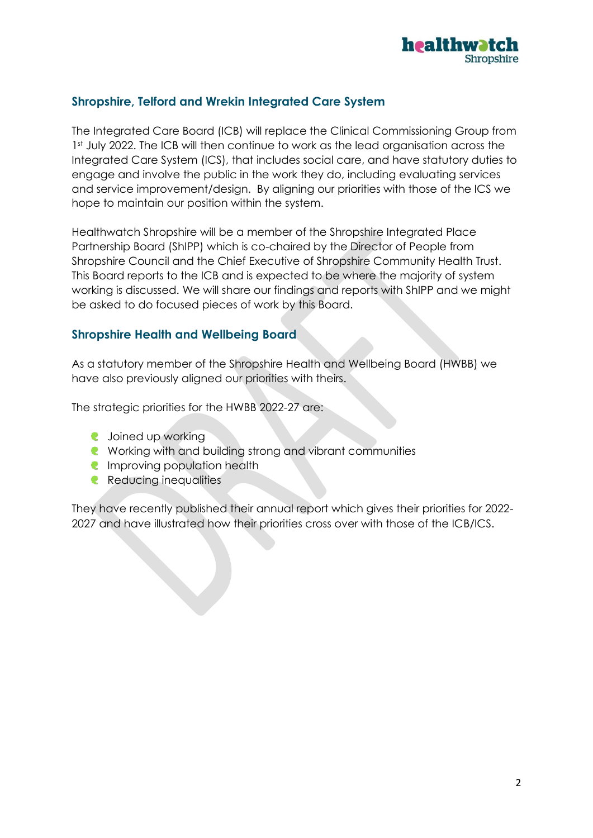

### **Shropshire, Telford and Wrekin Integrated Care System**

The Integrated Care Board (ICB) will replace the Clinical Commissioning Group from 1st July 2022. The ICB will then continue to work as the lead organisation across the Integrated Care System (ICS), that includes social care, and have statutory duties to engage and involve the public in the work they do, including evaluating services and service improvement/design. By aligning our priorities with those of the ICS we hope to maintain our position within the system.

Healthwatch Shropshire will be a member of the Shropshire Integrated Place Partnership Board (ShIPP) which is co-chaired by the Director of People from Shropshire Council and the Chief Executive of Shropshire Community Health Trust. This Board reports to the ICB and is expected to be where the majority of system working is discussed. We will share our findings and reports with ShIPP and we might be asked to do focused pieces of work by this Board.

#### **Shropshire Health and Wellbeing Board**

As a statutory member of the Shropshire Health and Wellbeing Board (HWBB) we have also previously aligned our priorities with theirs.

The strategic priorities for the HWBB 2022-27 are:

- **C** Joined up working
- **C** Working with and building strong and vibrant communities
- **Improving population health**
- **Reducing inequalities**

They have recently published their annual report which gives their priorities for 2022- 2027 and have illustrated how their priorities cross over with those of the ICB/ICS.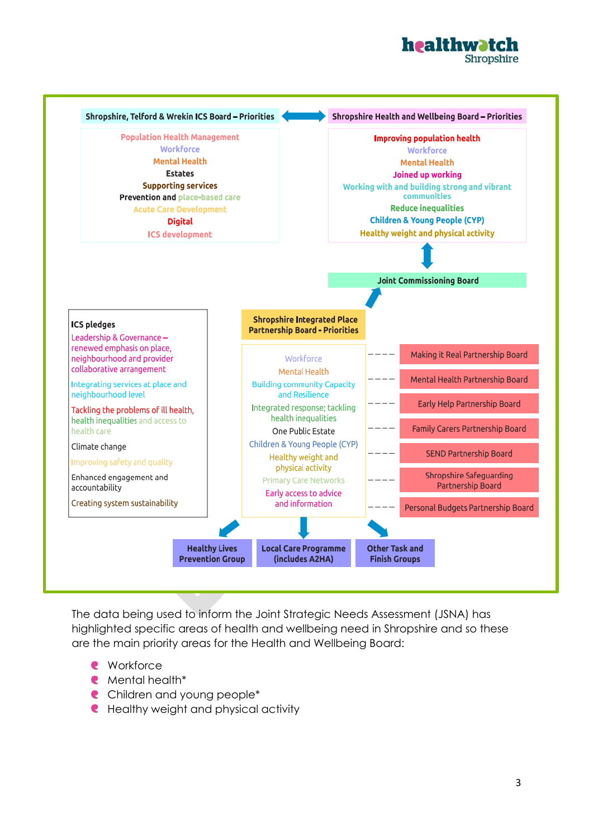



The data being used to inform the Joint Strategic Needs Assessment (JSNA) has highlighted specific areas of health and wellbeing need in Shropshire and so these are the main priority areas for the Health and Wellbeing Board:

- **C** Workforce
- Mental health\*
- **C** Children and young people<sup>\*</sup>
- **C** Healthy weight and physical activity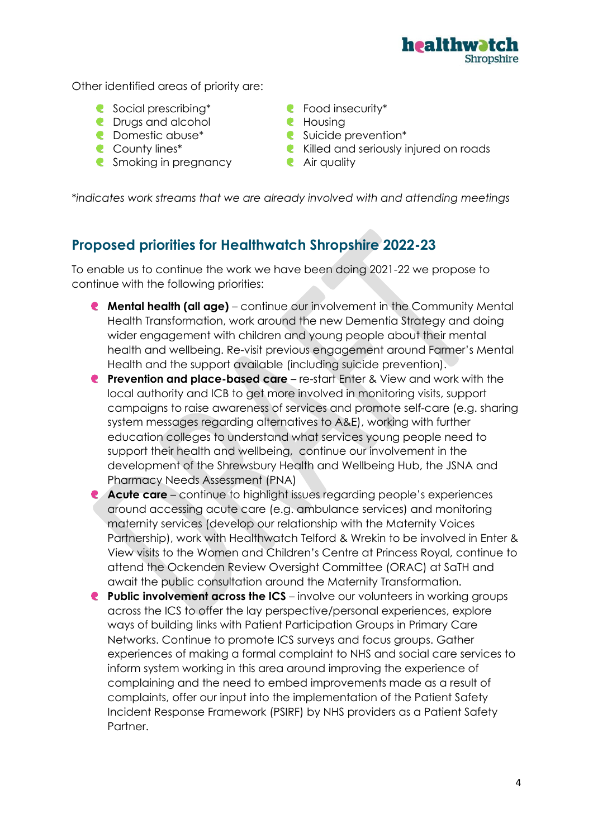

Other identified areas of priority are:

- C Social prescribing\* Refraction C Food insecurity\*
- **C** Drugs and alcohol **C** Housing
- 
- 
- **C** Smoking in pregnancy **C** Air quality
- 
- 
- C Domestic abuse\* Suicide prevention\*
- **C** County lines\* **C** Killed and seriously injured on roads
	-

\**indicates work streams that we are already involved with and attending meetings*

## **Proposed priorities for Healthwatch Shropshire 2022-23**

To enable us to continue the work we have been doing 2021-22 we propose to continue with the following priorities:

- **Mental health (all age)** continue our involvement in the Community Mental Health Transformation, work around the new Dementia Strategy and doing wider engagement with children and young people about their mental health and wellbeing. Re-visit previous engagement around Farmer's Mental Health and the support available (including suicide prevention).
- **Prevention and place-based care** re-start Enter & View and work with the local authority and ICB to get more involved in monitoring visits, support campaigns to raise awareness of services and promote self-care (e.g. sharing system messages regarding alternatives to A&E), working with further education colleges to understand what services young people need to support their health and wellbeing, continue our involvement in the development of the Shrewsbury Health and Wellbeing Hub, the JSNA and Pharmacy Needs Assessment (PNA)
- **Acute care**  continue to highlight issues regarding people's experiences  $\bullet$ around accessing acute care (e.g. ambulance services) and monitoring maternity services (develop our relationship with the Maternity Voices Partnership), work with Healthwatch Telford & Wrekin to be involved in Enter & View visits to the Women and Children's Centre at Princess Royal, continue to attend the Ockenden Review Oversight Committee (ORAC) at SaTH and await the public consultation around the Maternity Transformation.
- **Public involvement across the ICS** involve our volunteers in working groups across the ICS to offer the lay perspective/personal experiences, explore ways of building links with Patient Participation Groups in Primary Care Networks. Continue to promote ICS surveys and focus groups. Gather experiences of making a formal complaint to NHS and social care services to inform system working in this area around improving the experience of complaining and the need to embed improvements made as a result of complaints, offer our input into the implementation of the Patient Safety Incident Response Framework (PSIRF) by NHS providers as a Patient Safety Partner.